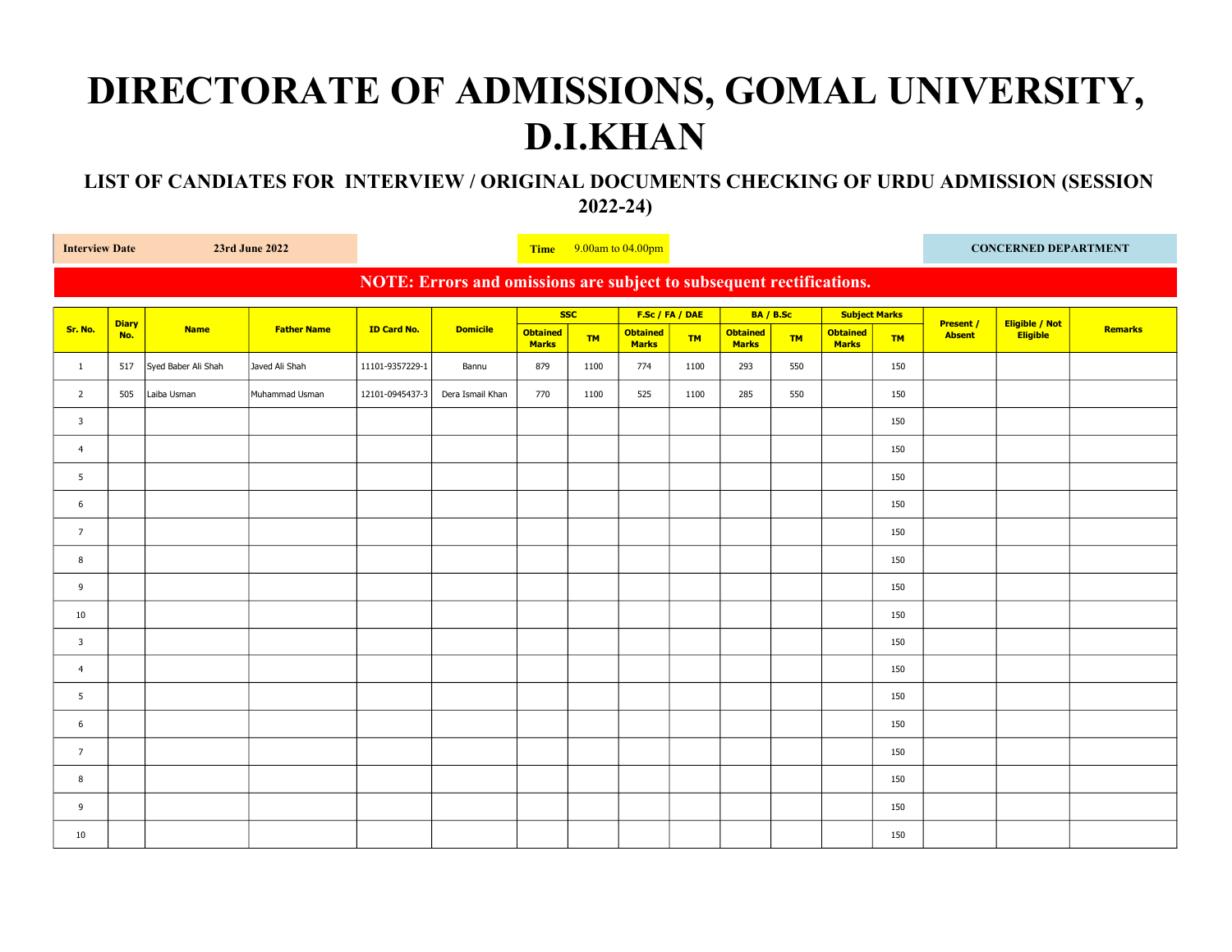## DIRECTORATE OF ADMISSIONS, GOMAL UNIVERSITY, D.I.KHAN

## LIST OF CANDIATES FOR INTERVIEW / ORIGINAL DOCUMENTS CHECKING OF URDU ADMISSION (SESSION 2022-24)

| <b>Interview Date</b><br>23rd June 2022                              |                     |                     |                    |                    | Time $9.00$ am to $04.00$ pm |                                 |           |                                 |           |                                 |           |                                 | <b>CONCERNED DEPARTMENT</b> |                                   |                            |                |
|----------------------------------------------------------------------|---------------------|---------------------|--------------------|--------------------|------------------------------|---------------------------------|-----------|---------------------------------|-----------|---------------------------------|-----------|---------------------------------|-----------------------------|-----------------------------------|----------------------------|----------------|
| NOTE: Errors and omissions are subject to subsequent rectifications. |                     |                     |                    |                    |                              |                                 |           |                                 |           |                                 |           |                                 |                             |                                   |                            |                |
|                                                                      | <b>Diary</b><br>No. | <b>Name</b>         | <b>Father Name</b> | <b>ID Card No.</b> | <b>Domicile</b>              | <b>SSC</b>                      |           | F.Sc / FA / DAE                 |           | BA / B.Sc                       |           | <b>Subject Marks</b>            |                             |                                   |                            |                |
| Sr. No.                                                              |                     |                     |                    |                    |                              | <b>Obtained</b><br><b>Marks</b> | <b>TM</b> | <b>Obtained</b><br><b>Marks</b> | <b>TM</b> | <b>Obtained</b><br><b>Marks</b> | <b>TM</b> | <b>Obtained</b><br><b>Marks</b> | <b>TM</b>                   | <b>Present /</b><br><b>Absent</b> | Eligible / Not<br>Eligible | <b>Remarks</b> |
| $\mathbf{1}$                                                         | 517                 | Syed Baber Ali Shah | Javed Ali Shah     | 11101-9357229-1    | Bannu                        | 879                             | 1100      | 774                             | 1100      | 293                             | 550       |                                 | 150                         |                                   |                            |                |
| $\overline{2}$                                                       | 505                 | Laiba Usman         | Muhammad Usman     | 12101-0945437-3    | Dera Ismail Khan             | 770                             | 1100      | 525                             | 1100      | 285                             | 550       |                                 | 150                         |                                   |                            |                |
| $\overline{\mathbf{3}}$                                              |                     |                     |                    |                    |                              |                                 |           |                                 |           |                                 |           |                                 | 150                         |                                   |                            |                |
| $\overline{4}$                                                       |                     |                     |                    |                    |                              |                                 |           |                                 |           |                                 |           |                                 | 150                         |                                   |                            |                |
| 5                                                                    |                     |                     |                    |                    |                              |                                 |           |                                 |           |                                 |           |                                 | 150                         |                                   |                            |                |
| 6                                                                    |                     |                     |                    |                    |                              |                                 |           |                                 |           |                                 |           |                                 | 150                         |                                   |                            |                |
| $\overline{7}$                                                       |                     |                     |                    |                    |                              |                                 |           |                                 |           |                                 |           |                                 | 150                         |                                   |                            |                |
| 8                                                                    |                     |                     |                    |                    |                              |                                 |           |                                 |           |                                 |           |                                 | 150                         |                                   |                            |                |
| 9                                                                    |                     |                     |                    |                    |                              |                                 |           |                                 |           |                                 |           |                                 | 150                         |                                   |                            |                |
| 10                                                                   |                     |                     |                    |                    |                              |                                 |           |                                 |           |                                 |           |                                 | 150                         |                                   |                            |                |
| 3                                                                    |                     |                     |                    |                    |                              |                                 |           |                                 |           |                                 |           |                                 | 150                         |                                   |                            |                |
| $\overline{4}$                                                       |                     |                     |                    |                    |                              |                                 |           |                                 |           |                                 |           |                                 | 150                         |                                   |                            |                |
| 5                                                                    |                     |                     |                    |                    |                              |                                 |           |                                 |           |                                 |           |                                 | 150                         |                                   |                            |                |
| 6                                                                    |                     |                     |                    |                    |                              |                                 |           |                                 |           |                                 |           |                                 | 150                         |                                   |                            |                |
| $\overline{7}$                                                       |                     |                     |                    |                    |                              |                                 |           |                                 |           |                                 |           |                                 | 150                         |                                   |                            |                |
| 8                                                                    |                     |                     |                    |                    |                              |                                 |           |                                 |           |                                 |           |                                 | 150                         |                                   |                            |                |
| 9                                                                    |                     |                     |                    |                    |                              |                                 |           |                                 |           |                                 |           |                                 | 150                         |                                   |                            |                |
| 10                                                                   |                     |                     |                    |                    |                              |                                 |           |                                 |           |                                 |           |                                 | 150                         |                                   |                            |                |